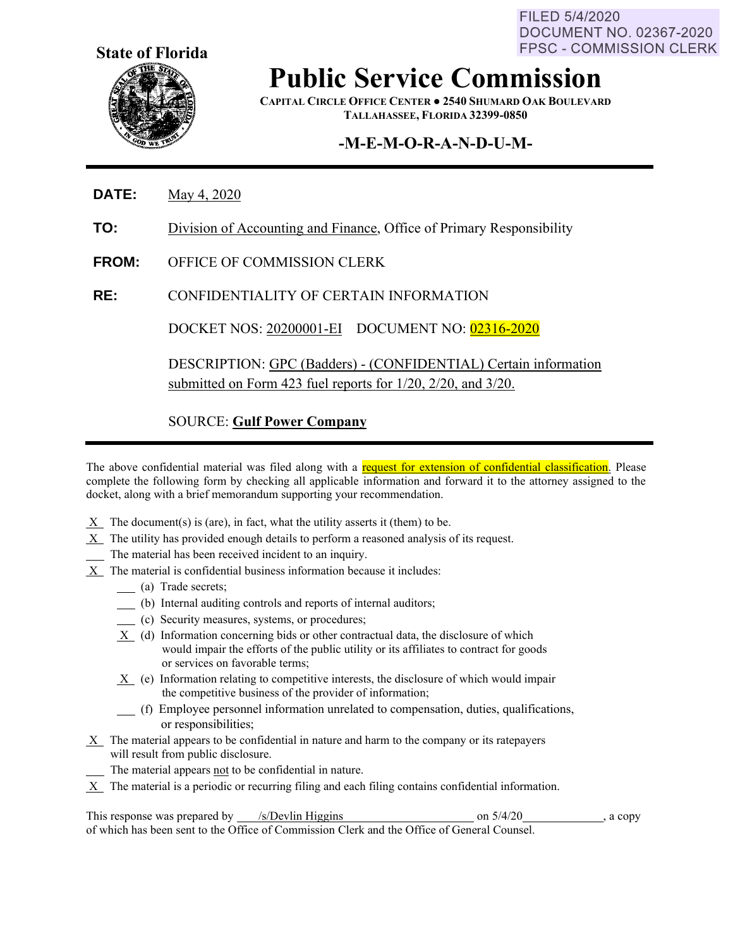FILED 5/4/2020 DOCUMENT NO. 02367-2020 FPSC - COMMISSION CLERK



## **Public Service Commission**

**CAPITAL CIRCLE OFFICE CENTER ● 2540 SHUMARD OAK BOULEVARD TALLAHASSEE, FLORIDA 32399-0850**

## **-M-E-M-O-R-A-N-D-U-M-**

- **DATE:** May 4, 2020
- **TO:** Division of Accounting and Finance, Office of Primary Responsibility
- **FROM:** OFFICE OF COMMISSION CLERK
- **RE:** CONFIDENTIALITY OF CERTAIN INFORMATION

DOCKET NOS: 20200001-EI DOCUMENT NO: 02316-2020

DESCRIPTION: GPC (Badders) - (CONFIDENTIAL) Certain information submitted on Form 423 fuel reports for 1/20, 2/20, and 3/20.

SOURCE: **Gulf Power Company**

The above confidential material was filed along with a request for extension of confidential classification. Please complete the following form by checking all applicable information and forward it to the attorney assigned to the docket, along with a brief memorandum supporting your recommendation.

- $X$  The document(s) is (are), in fact, what the utility asserts it (them) to be.
- $X$  The utility has provided enough details to perform a reasoned analysis of its request.
- The material has been received incident to an inquiry.
- X The material is confidential business information because it includes:
	- (a) Trade secrets;
	- (b) Internal auditing controls and reports of internal auditors;
	- (c) Security measures, systems, or procedures;
	- X (d) Information concerning bids or other contractual data, the disclosure of which would impair the efforts of the public utility or its affiliates to contract for goods or services on favorable terms;
	- X (e) Information relating to competitive interests, the disclosure of which would impair the competitive business of the provider of information;
	- (f) Employee personnel information unrelated to compensation, duties, qualifications, or responsibilities;
- $X$  The material appears to be confidential in nature and harm to the company or its ratepayers will result from public disclosure.
- The material appears not to be confidential in nature.
- $X$  The material is a periodic or recurring filing and each filing contains confidential information.

This response was prepared by  $\sqrt{s/D}$  /s/Devlin Higgins on 5/4/20 , a copy of which has been sent to the Office of Commission Clerk and the Office of General Counsel.